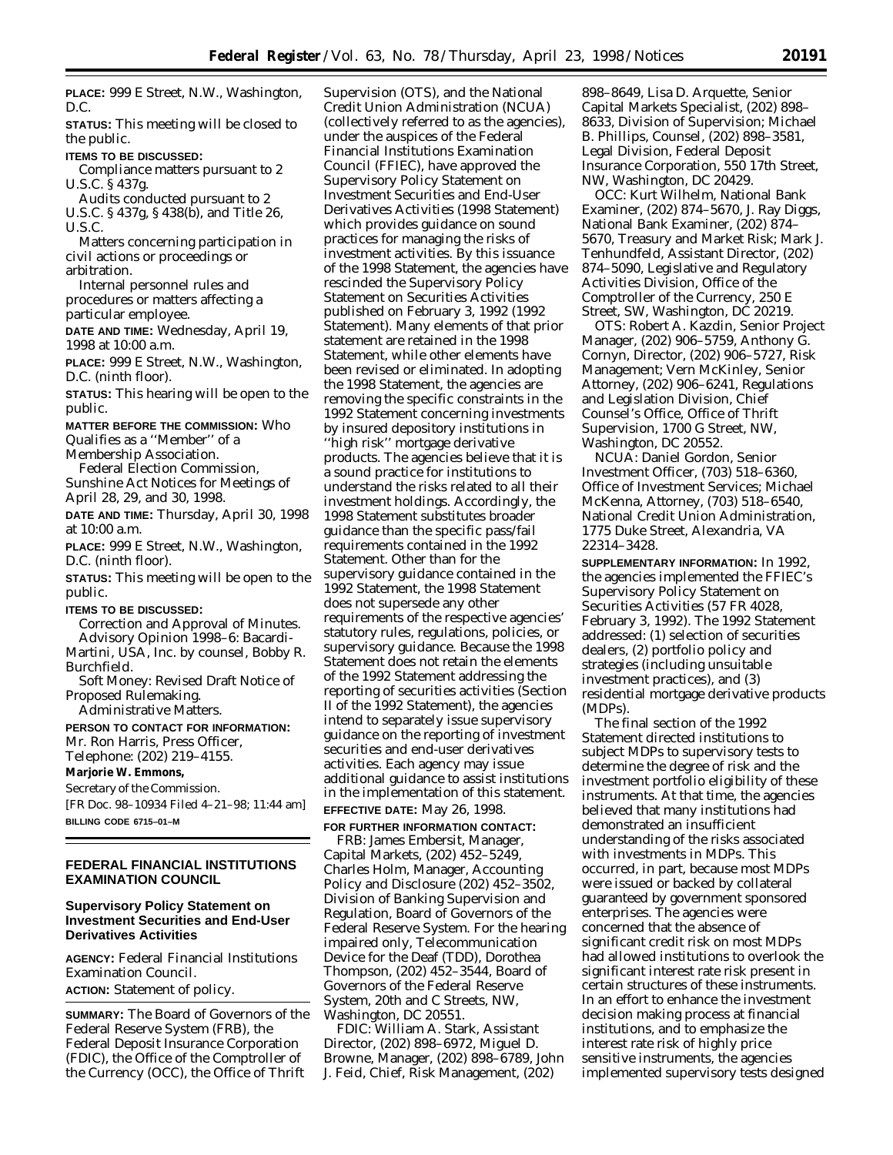**PLACE:** 999 E Street, N.W., Washington, D.C.

**STATUS:** This meeting will be closed to the public.

**ITEMS TO BE DISCUSSED:**

Compliance matters pursuant to 2 U.S.C. § 437g.

Audits conducted pursuant to 2 U.S.C. § 437g, § 438(b), and Title 26, U.S.C.

Matters concerning participation in civil actions or proceedings or arbitration.

Internal personnel rules and procedures or matters affecting a particular employee.

**DATE AND TIME:** Wednesday, April 19, 1998 at 10:00 a.m.

**PLACE:** 999 E Street, N.W., Washington, D.C. (ninth floor).

**STATUS:** This hearing will be open to the public.

**MATTER BEFORE THE COMMISSION:** Who Qualifies as a ''Member'' of a Membership Association.

Federal Election Commission, Sunshine Act Notices for Meetings of April 28, 29, and 30, 1998.

**DATE AND TIME:** Thursday, April 30, 1998 at 10:00 a.m.

**PLACE:** 999 E Street, N.W., Washington, D.C. (ninth floor).

**STATUS:** This meeting will be open to the public.

**ITEMS TO BE DISCUSSED:**

Correction and Approval of Minutes. Advisory Opinion 1998–6: Bacardi-

Martini, USA, Inc. by counsel, Bobby R. Burchfield.

Soft Money: Revised Draft Notice of Proposed Rulemaking.

Administrative Matters.

**PERSON TO CONTACT FOR INFORMATION:** Mr. Ron Harris, Press Officer,

Telephone: (202) 219–4155.

# **Marjorie W. Emmons,**

*Secretary of the Commission.* [FR Doc. 98–10934 Filed 4–21–98; 11:44 am] **BILLING CODE 6715–01–M**

## **FEDERAL FINANCIAL INSTITUTIONS EXAMINATION COUNCIL**

## **Supervisory Policy Statement on Investment Securities and End-User Derivatives Activities**

**AGENCY:** Federal Financial Institutions Examination Council. **ACTION:** Statement of policy.

**SUMMARY:** The Board of Governors of the Federal Reserve System (FRB), the Federal Deposit Insurance Corporation (FDIC), the Office of the Comptroller of the Currency (OCC), the Office of Thrift

Supervision (OTS), and the National Credit Union Administration (NCUA) (collectively referred to as the agencies), under the auspices of the Federal Financial Institutions Examination Council (FFIEC), have approved the Supervisory Policy Statement on Investment Securities and End-User Derivatives Activities (1998 Statement) which provides guidance on sound practices for managing the risks of investment activities. By this issuance of the 1998 Statement, the agencies have rescinded the Supervisory Policy Statement on Securities Activities published on February 3, 1992 (1992 Statement). Many elements of that prior statement are retained in the 1998 Statement, while other elements have been revised or eliminated. In adopting the 1998 Statement, the agencies are removing the specific constraints in the 1992 Statement concerning investments by insured depository institutions in ''high risk'' mortgage derivative products. The agencies believe that it is a sound practice for institutions to understand the risks related to all their investment holdings. Accordingly, the 1998 Statement substitutes broader guidance than the specific pass/fail requirements contained in the 1992 Statement. Other than for the supervisory guidance contained in the 1992 Statement, the 1998 Statement does not supersede any other requirements of the respective agencies' statutory rules, regulations, policies, or supervisory guidance. Because the 1998 Statement does not retain the elements of the 1992 Statement addressing the reporting of securities activities (Section II of the 1992 Statement), the agencies intend to separately issue supervisory guidance on the reporting of investment securities and end-user derivatives activities. Each agency may issue additional guidance to assist institutions in the implementation of this statement.

#### **EFFECTIVE DATE:** May 26, 1998.

**FOR FURTHER INFORMATION CONTACT:**

FRB: James Embersit, Manager, Capital Markets, (202) 452–5249, Charles Holm, Manager, Accounting Policy and Disclosure (202) 452–3502, Division of Banking Supervision and Regulation, Board of Governors of the Federal Reserve System. For the hearing impaired only, Telecommunication Device for the Deaf (TDD), Dorothea Thompson, (202) 452–3544, Board of Governors of the Federal Reserve System, 20th and C Streets, NW, Washington, DC 20551.

FDIC: William A. Stark, Assistant Director, (202) 898–6972, Miguel D. Browne, Manager, (202) 898–6789, John J. Feid, Chief, Risk Management, (202)

898–8649, Lisa D. Arquette, Senior Capital Markets Specialist, (202) 898– 8633, Division of Supervision; Michael B. Phillips, Counsel, (202) 898–3581, Legal Division, Federal Deposit Insurance Corporation, 550 17th Street, NW, Washington, DC 20429.

OCC: Kurt Wilhelm, National Bank Examiner, (202) 874–5670, J. Ray Diggs, National Bank Examiner, (202) 874– 5670, Treasury and Market Risk; Mark J. Tenhundfeld, Assistant Director, (202) 874–5090, Legislative and Regulatory Activities Division, Office of the Comptroller of the Currency, 250 E Street, SW, Washington, DC 20219.

OTS: Robert A. Kazdin, Senior Project Manager, (202) 906–5759, Anthony G. Cornyn, Director, (202) 906–5727, Risk Management; Vern McKinley, Senior Attorney, (202) 906–6241, Regulations and Legislation Division, Chief Counsel's Office, Office of Thrift Supervision, 1700 G Street, NW, Washington, DC 20552.

NCUA: Daniel Gordon, Senior Investment Officer, (703) 518–6360, Office of Investment Services; Michael McKenna, Attorney, (703) 518–6540, National Credit Union Administration, 1775 Duke Street, Alexandria, VA 22314–3428.

**SUPPLEMENTARY INFORMATION:** In 1992, the agencies implemented the FFIEC's Supervisory Policy Statement on Securities Activities (57 FR 4028, February 3, 1992). The 1992 Statement addressed: (1) selection of securities dealers, (2) portfolio policy and strategies (including unsuitable investment practices), and (3) residential mortgage derivative products (MDPs).

The final section of the 1992 Statement directed institutions to subject MDPs to supervisory tests to determine the degree of risk and the investment portfolio eligibility of these instruments. At that time, the agencies believed that many institutions had demonstrated an insufficient understanding of the risks associated with investments in MDPs. This occurred, in part, because most MDPs were issued or backed by collateral guaranteed by government sponsored enterprises. The agencies were concerned that the absence of significant credit risk on most MDPs had allowed institutions to overlook the significant interest rate risk present in certain structures of these instruments. In an effort to enhance the investment decision making process at financial institutions, and to emphasize the interest rate risk of highly price sensitive instruments, the agencies implemented supervisory tests designed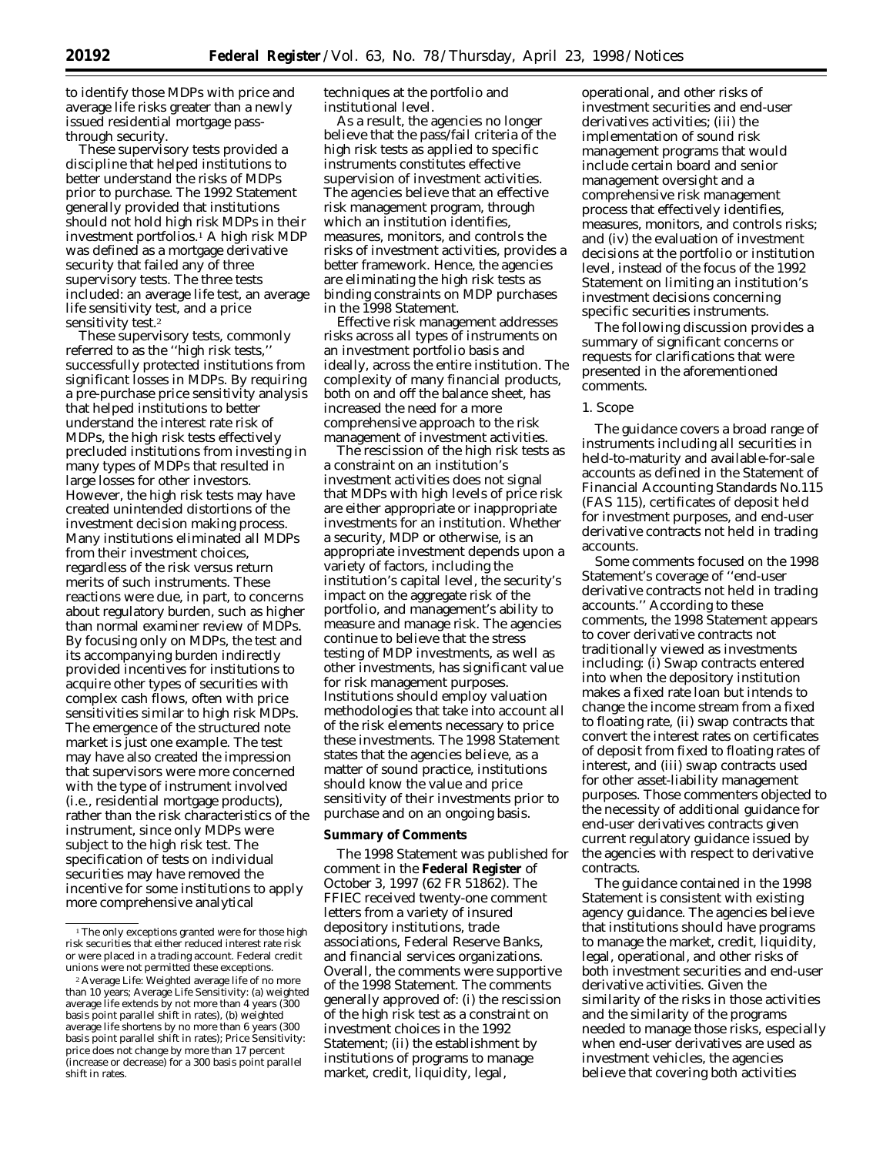to identify those MDPs with price and average life risks greater than a newly issued residential mortgage passthrough security.

These supervisory tests provided a discipline that helped institutions to better understand the risks of MDPs prior to purchase. The 1992 Statement generally provided that institutions should not hold high risk MDPs in their investment portfolios.1 A high risk MDP was defined as a mortgage derivative security that failed any of three supervisory tests. The three tests included: an average life test, an average life sensitivity test, and a price sensitivity test.2

These supervisory tests, commonly referred to as the ''high risk tests,'' successfully protected institutions from significant losses in MDPs. By requiring a pre-purchase price sensitivity analysis that helped institutions to better understand the interest rate risk of MDPs, the high risk tests effectively precluded institutions from investing in many types of MDPs that resulted in large losses for other investors. However, the high risk tests may have created unintended distortions of the investment decision making process. Many institutions eliminated all MDPs from their investment choices, regardless of the risk versus return merits of such instruments. These reactions were due, in part, to concerns about regulatory burden, such as higher than normal examiner review of MDPs. By focusing only on MDPs, the test and its accompanying burden indirectly provided incentives for institutions to acquire other types of securities with complex cash flows, often with price sensitivities similar to high risk MDPs. The emergence of the structured note market is just one example. The test may have also created the impression that supervisors were more concerned with the type of instrument involved (i.e., residential mortgage products), rather than the risk characteristics of the instrument, since only MDPs were subject to the high risk test. The specification of tests on individual securities may have removed the incentive for some institutions to apply more comprehensive analytical

techniques at the portfolio and institutional level.

As a result, the agencies no longer believe that the pass/fail criteria of the high risk tests as applied to specific instruments constitutes effective supervision of investment activities. The agencies believe that an effective risk management program, through which an institution identifies, measures, monitors, and controls the risks of investment activities, provides a better framework. Hence, the agencies are eliminating the high risk tests as binding constraints on MDP purchases in the 1998 Statement.

Effective risk management addresses risks across all types of instruments on an investment portfolio basis and ideally, across the entire institution. The complexity of many financial products, both on and off the balance sheet, has increased the need for a more comprehensive approach to the risk management of investment activities.

The rescission of the high risk tests as a constraint on an institution's investment activities does not signal that MDPs with high levels of price risk are either appropriate or inappropriate investments for an institution. Whether a security, MDP or otherwise, is an appropriate investment depends upon a variety of factors, including the institution's capital level, the security's impact on the aggregate risk of the portfolio, and management's ability to measure and manage risk. The agencies continue to believe that the stress testing of MDP investments, as well as other investments, has significant value for risk management purposes. Institutions should employ valuation methodologies that take into account all of the risk elements necessary to price these investments. The 1998 Statement states that the agencies believe, as a matter of sound practice, institutions should know the value and price sensitivity of their investments prior to purchase and on an ongoing basis.

### **Summary of Comments**

The 1998 Statement was published for comment in the **Federal Register** of October 3, 1997 (62 FR 51862). The FFIEC received twenty-one comment letters from a variety of insured depository institutions, trade associations, Federal Reserve Banks, and financial services organizations. Overall, the comments were supportive of the 1998 Statement. The comments generally approved of: (i) the rescission of the high risk test as a constraint on investment choices in the 1992 Statement; (ii) the establishment by institutions of programs to manage market, credit, liquidity, legal,

operational, and other risks of investment securities and end-user derivatives activities; (iii) the implementation of sound risk management programs that would include certain board and senior management oversight and a comprehensive risk management process that effectively identifies, measures, monitors, and controls risks; and (iv) the evaluation of investment decisions at the portfolio or institution level, instead of the focus of the 1992 Statement on limiting an institution's investment decisions concerning specific securities instruments.

The following discussion provides a summary of significant concerns or requests for clarifications that were presented in the aforementioned comments.

#### *1. Scope*

The guidance covers a broad range of instruments including all securities in held-to-maturity and available-for-sale accounts as defined in the Statement of Financial Accounting Standards No.115 (FAS 115), certificates of deposit held for investment purposes, and end-user derivative contracts not held in trading accounts.

Some comments focused on the 1998 Statement's coverage of ''end-user derivative contracts not held in trading accounts.'' According to these comments, the 1998 Statement appears to cover derivative contracts not traditionally viewed as investments including: (i) Swap contracts entered into when the depository institution makes a fixed rate loan but intends to change the income stream from a fixed to floating rate, (ii) swap contracts that convert the interest rates on certificates of deposit from fixed to floating rates of interest, and (iii) swap contracts used for other asset-liability management purposes. Those commenters objected to the necessity of additional guidance for end-user derivatives contracts given current regulatory guidance issued by the agencies with respect to derivative contracts.

The guidance contained in the 1998 Statement is consistent with existing agency guidance. The agencies believe that institutions should have programs to manage the market, credit, liquidity, legal, operational, and other risks of both investment securities and end-user derivative activities. Given the similarity of the risks in those activities and the similarity of the programs needed to manage those risks, especially when end-user derivatives are used as investment vehicles, the agencies believe that covering both activities

<sup>&</sup>lt;sup>1</sup>The only exceptions granted were for those high risk securities that either reduced interest rate risk or were placed in a trading account. Federal credit unions were not permitted these exceptions.

<sup>2</sup>Average Life: Weighted average life of no more than 10 years; Average Life Sensitivity: (a) weighted average life extends by not more than 4 years (300 basis point parallel shift in rates), (b) weighted average life shortens by no more than 6 years (300 basis point parallel shift in rates); Price Sensitivity: price does not change by more than 17 percent (increase or decrease) for a 300 basis point parallel shift in rates.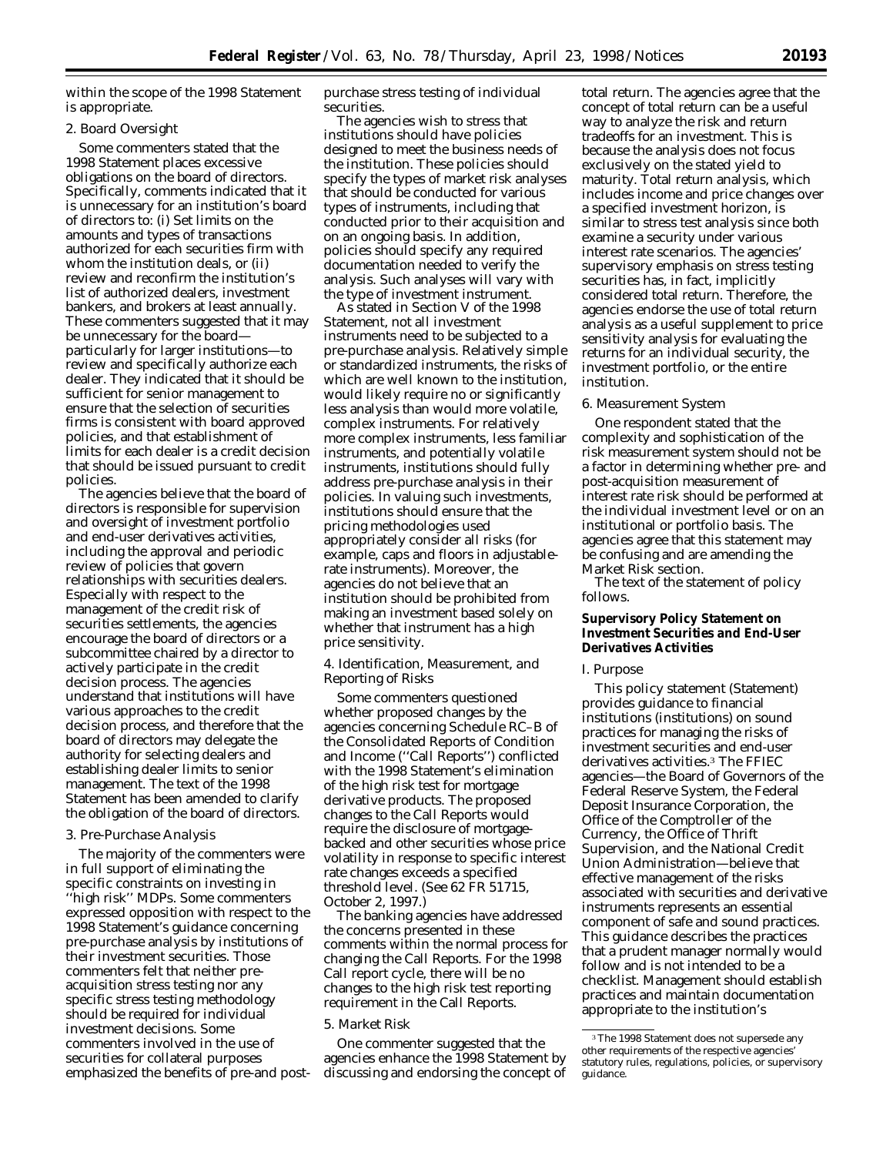within the scope of the 1998 Statement is appropriate.

#### *2. Board Oversight*

Some commenters stated that the 1998 Statement places excessive obligations on the board of directors. Specifically, comments indicated that it is unnecessary for an institution's board of directors to: (i) Set limits on the amounts and types of transactions authorized for each securities firm with whom the institution deals, or (ii) review and reconfirm the institution's list of authorized dealers, investment bankers, and brokers at least annually. These commenters suggested that it may be unnecessary for the board particularly for larger institutions—to review and specifically authorize each dealer. They indicated that it should be sufficient for senior management to ensure that the selection of securities firms is consistent with board approved policies, and that establishment of limits for each dealer is a credit decision that should be issued pursuant to credit policies.

The agencies believe that the board of directors is responsible for supervision and oversight of investment portfolio and end-user derivatives activities, including the approval and periodic review of policies that govern relationships with securities dealers. Especially with respect to the management of the credit risk of securities settlements, the agencies encourage the board of directors or a subcommittee chaired by a director to actively participate in the credit decision process. The agencies understand that institutions will have various approaches to the credit decision process, and therefore that the board of directors may delegate the authority for selecting dealers and establishing dealer limits to senior management. The text of the 1998 Statement has been amended to clarify the obligation of the board of directors.

## *3. Pre-Purchase Analysis*

The majority of the commenters were in full support of eliminating the specific constraints on investing in ''high risk'' MDPs. Some commenters expressed opposition with respect to the 1998 Statement's guidance concerning pre-purchase analysis by institutions of their investment securities. Those commenters felt that neither preacquisition stress testing nor any specific stress testing methodology should be required for individual investment decisions. Some commenters involved in the use of securities for collateral purposes emphasized the benefits of pre-and postpurchase stress testing of individual securities.

The agencies wish to stress that institutions should have policies designed to meet the business needs of the institution. These policies should specify the types of market risk analyses that should be conducted for various types of instruments, including that conducted prior to their acquisition and on an ongoing basis. In addition, policies should specify any required documentation needed to verify the analysis. Such analyses will vary with the type of investment instrument.

As stated in Section V of the 1998 Statement, not all investment instruments need to be subjected to a pre-purchase analysis. Relatively simple or standardized instruments, the risks of which are well known to the institution, would likely require no or significantly less analysis than would more volatile, complex instruments. For relatively more complex instruments, less familiar instruments, and potentially volatile instruments, institutions should fully address pre-purchase analysis in their policies. In valuing such investments, institutions should ensure that the pricing methodologies used appropriately consider all risks (for example, caps and floors in adjustablerate instruments). Moreover, the agencies do not believe that an institution should be prohibited from making an investment based solely on whether that instrument has a high price sensitivity.

## *4. Identification, Measurement, and Reporting of Risks*

Some commenters questioned whether proposed changes by the agencies concerning Schedule RC–B of the Consolidated Reports of Condition and Income (''Call Reports'') conflicted with the 1998 Statement's elimination of the high risk test for mortgage derivative products. The proposed changes to the Call Reports would require the disclosure of mortgagebacked and other securities whose price volatility in response to specific interest rate changes exceeds a specified threshold level. (*See* 62 FR 51715, October 2, 1997.)

The banking agencies have addressed the concerns presented in these comments within the normal process for changing the Call Reports. For the 1998 Call report cycle, there will be no changes to the high risk test reporting requirement in the Call Reports.

#### *5. Market Risk*

One commenter suggested that the agencies enhance the 1998 Statement by discussing and endorsing the concept of

total return. The agencies agree that the concept of total return can be a useful way to analyze the risk and return tradeoffs for an investment. This is because the analysis does not focus exclusively on the stated yield to maturity. Total return analysis, which includes income and price changes over a specified investment horizon, is similar to stress test analysis since both examine a security under various interest rate scenarios. The agencies' supervisory emphasis on stress testing securities has, in fact, implicitly considered total return. Therefore, the agencies endorse the use of total return analysis as a useful supplement to price sensitivity analysis for evaluating the returns for an individual security, the investment portfolio, or the entire institution.

#### *6. Measurement System*

One respondent stated that the complexity and sophistication of the risk measurement system should not be a factor in determining whether pre- and post-acquisition measurement of interest rate risk should be performed at the individual investment level or on an institutional or portfolio basis. The agencies agree that this statement may be confusing and are amending the Market Risk section.

The text of the statement of policy follows.

## **Supervisory Policy Statement on Investment Securities and End-User Derivatives Activities**

#### *I. Purpose*

This policy statement (Statement) provides guidance to financial institutions (institutions) on sound practices for managing the risks of investment securities and end-user derivatives activities.3 The FFIEC agencies—the Board of Governors of the Federal Reserve System, the Federal Deposit Insurance Corporation, the Office of the Comptroller of the Currency, the Office of Thrift Supervision, and the National Credit Union Administration—believe that effective management of the risks associated with securities and derivative instruments represents an essential component of safe and sound practices. This guidance describes the practices that a prudent manager normally would follow and is not intended to be a checklist. Management should establish practices and maintain documentation appropriate to the institution's

<sup>&</sup>lt;sup>3</sup>The 1998 Statement does not supersede any other requirements of the respective agencies' statutory rules, regulations, policies, or supervisory guidance.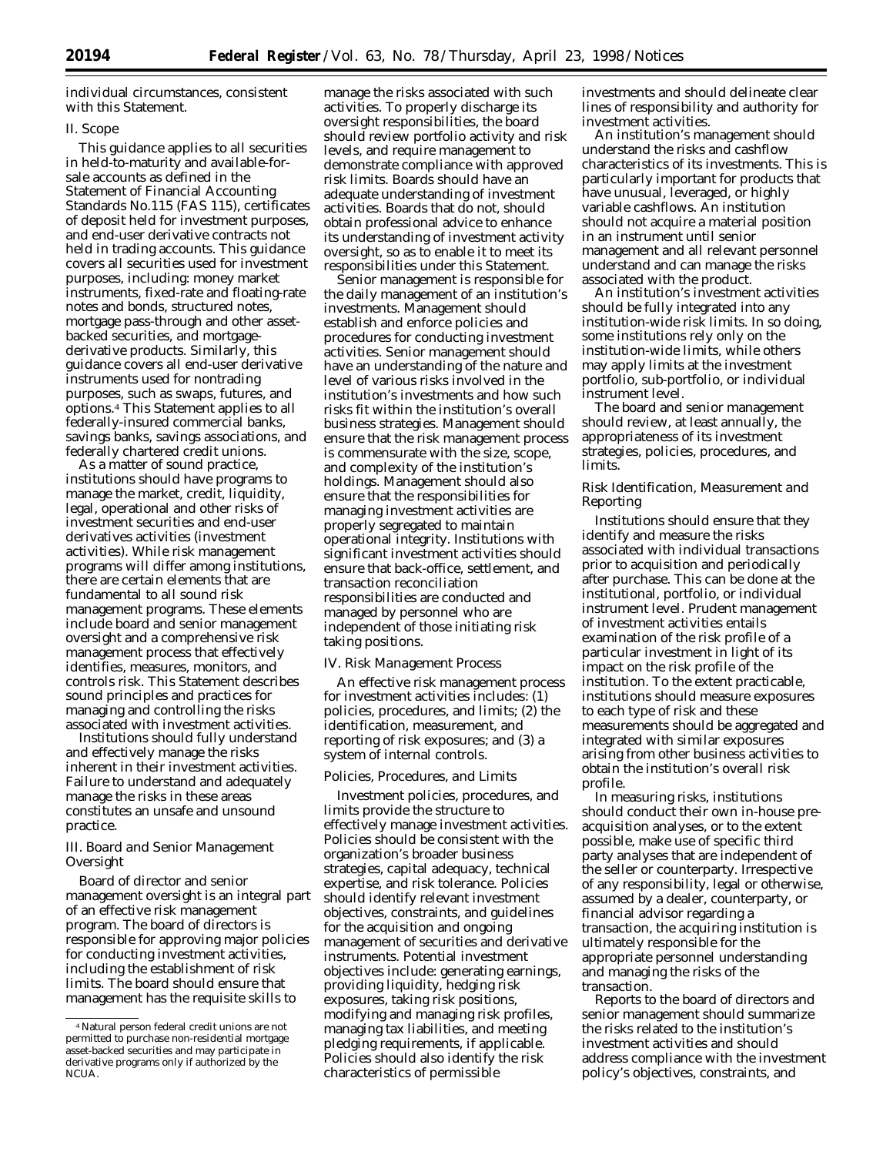individual circumstances, consistent with this Statement.

#### *II. Scope*

This guidance applies to all securities in held-to-maturity and available-forsale accounts as defined in the Statement of Financial Accounting Standards No.115 (FAS 115), certificates of deposit held for investment purposes, and end-user derivative contracts not held in trading accounts. This guidance covers all securities used for investment purposes, including: money market instruments, fixed-rate and floating-rate notes and bonds, structured notes, mortgage pass-through and other assetbacked securities, and mortgagederivative products. Similarly, this guidance covers all end-user derivative instruments used for nontrading purposes, such as swaps, futures, and options.4 This Statement applies to all federally-insured commercial banks, savings banks, savings associations, and federally chartered credit unions.

As a matter of sound practice, institutions should have programs to manage the market, credit, liquidity, legal, operational and other risks of investment securities and end-user derivatives activities (investment activities). While risk management programs will differ among institutions, there are certain elements that are fundamental to all sound risk management programs. These elements include board and senior management oversight and a comprehensive risk management process that effectively identifies, measures, monitors, and controls risk. This Statement describes sound principles and practices for managing and controlling the risks associated with investment activities.

Institutions should fully understand and effectively manage the risks inherent in their investment activities. Failure to understand and adequately manage the risks in these areas constitutes an unsafe and unsound practice.

## *III. Board and Senior Management Oversight*

Board of director and senior management oversight is an integral part of an effective risk management program. The board of directors is responsible for approving major policies for conducting investment activities, including the establishment of risk limits. The board should ensure that management has the requisite skills to

manage the risks associated with such activities. To properly discharge its oversight responsibilities, the board should review portfolio activity and risk levels, and require management to demonstrate compliance with approved risk limits. Boards should have an adequate understanding of investment activities. Boards that do not, should obtain professional advice to enhance its understanding of investment activity oversight, so as to enable it to meet its responsibilities under this Statement.

Senior management is responsible for the daily management of an institution's investments. Management should establish and enforce policies and procedures for conducting investment activities. Senior management should have an understanding of the nature and level of various risks involved in the institution's investments and how such risks fit within the institution's overall business strategies. Management should ensure that the risk management process is commensurate with the size, scope, and complexity of the institution's holdings. Management should also ensure that the responsibilities for managing investment activities are properly segregated to maintain operational integrity. Institutions with significant investment activities should ensure that back-office, settlement, and transaction reconciliation responsibilities are conducted and managed by personnel who are independent of those initiating risk taking positions.

#### *IV. Risk Management Process*

An effective risk management process for investment activities includes: (1) policies, procedures, and limits; (2) the identification, measurement, and reporting of risk exposures; and (3) a system of internal controls.

#### *Policies, Procedures, and Limits*

Investment policies, procedures, and limits provide the structure to effectively manage investment activities. Policies should be consistent with the organization's broader business strategies, capital adequacy, technical expertise, and risk tolerance. Policies should identify relevant investment objectives, constraints, and guidelines for the acquisition and ongoing management of securities and derivative instruments. Potential investment objectives include: generating earnings, providing liquidity, hedging risk exposures, taking risk positions, modifying and managing risk profiles, managing tax liabilities, and meeting pledging requirements, if applicable. Policies should also identify the risk characteristics of permissible

investments and should delineate clear lines of responsibility and authority for investment activities.

An institution's management should understand the risks and cashflow characteristics of its investments. This is particularly important for products that have unusual, leveraged, or highly variable cashflows. An institution should not acquire a material position in an instrument until senior management and all relevant personnel understand and can manage the risks associated with the product.

An institution's investment activities should be fully integrated into any institution-wide risk limits. In so doing, some institutions rely only on the institution-wide limits, while others may apply limits at the investment portfolio, sub-portfolio, or individual instrument level.

The board and senior management should review, at least annually, the appropriateness of its investment strategies, policies, procedures, and limits.

### *Risk Identification, Measurement and Reporting*

Institutions should ensure that they identify and measure the risks associated with individual transactions prior to acquisition and periodically after purchase. This can be done at the institutional, portfolio, or individual instrument level. Prudent management of investment activities entails examination of the risk profile of a particular investment in light of its impact on the risk profile of the institution. To the extent practicable, institutions should measure exposures to each type of risk and these measurements should be aggregated and integrated with similar exposures arising from other business activities to obtain the institution's overall risk profile.

In measuring risks, institutions should conduct their own in-house preacquisition analyses, or to the extent possible, make use of specific third party analyses that are independent of the seller or counterparty. Irrespective of any responsibility, legal or otherwise, assumed by a dealer, counterparty, or financial advisor regarding a transaction, the acquiring institution is ultimately responsible for the appropriate personnel understanding and managing the risks of the transaction.

Reports to the board of directors and senior management should summarize the risks related to the institution's investment activities and should address compliance with the investment policy's objectives, constraints, and

<sup>4</sup>Natural person federal credit unions are not permitted to purchase non-residential mortgage asset-backed securities and may participate in derivative programs only if authorized by the NCUA.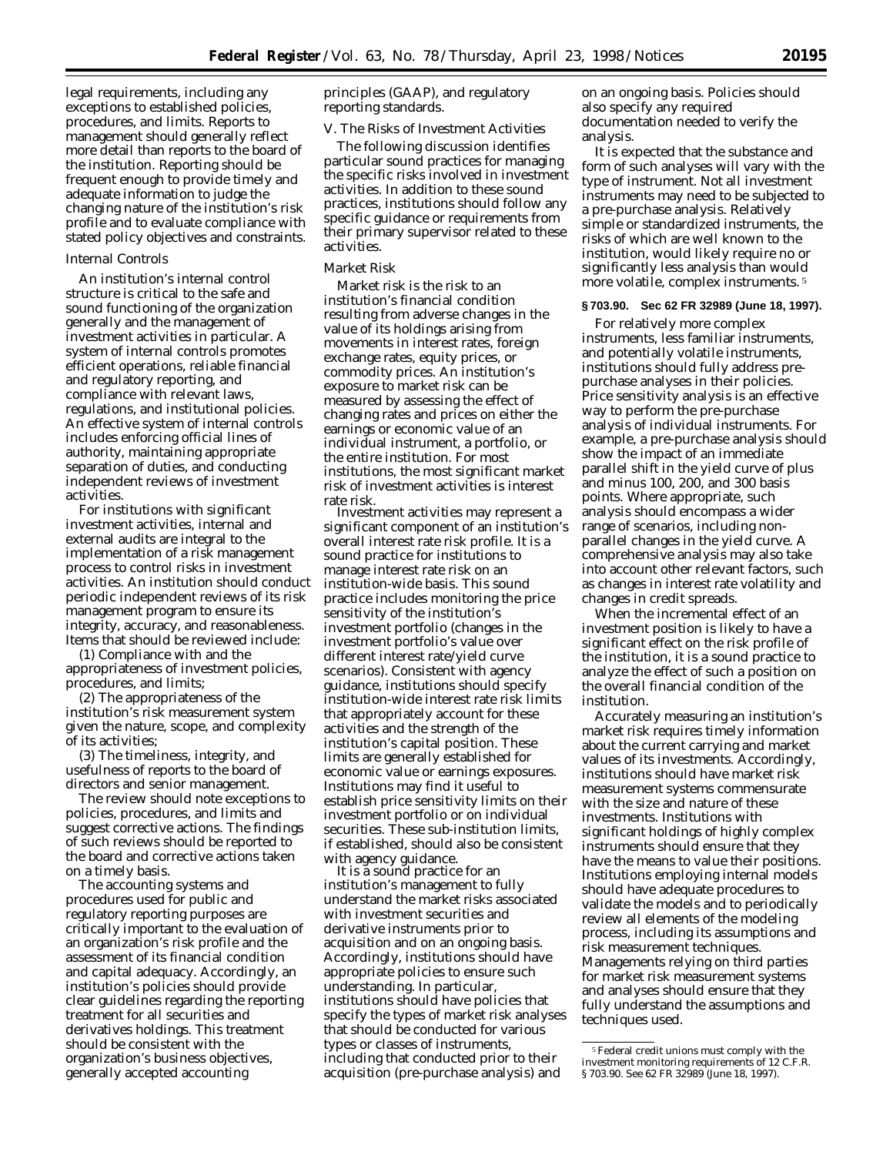legal requirements, including any exceptions to established policies, procedures, and limits. Reports to management should generally reflect more detail than reports to the board of the institution. Reporting should be frequent enough to provide timely and adequate information to judge the changing nature of the institution's risk profile and to evaluate compliance with stated policy objectives and constraints.

#### *Internal Controls*

An institution's internal control structure is critical to the safe and sound functioning of the organization generally and the management of investment activities in particular. A system of internal controls promotes efficient operations, reliable financial and regulatory reporting, and compliance with relevant laws, regulations, and institutional policies. An effective system of internal controls includes enforcing official lines of authority, maintaining appropriate separation of duties, and conducting independent reviews of investment activities.

For institutions with significant investment activities, internal and external audits are integral to the implementation of a risk management process to control risks in investment activities. An institution should conduct periodic independent reviews of its risk management program to ensure its integrity, accuracy, and reasonableness. Items that should be reviewed include:

(1) Compliance with and the appropriateness of investment policies, procedures, and limits;

(2) The appropriateness of the institution's risk measurement system given the nature, scope, and complexity of its activities;

(3) The timeliness, integrity, and usefulness of reports to the board of directors and senior management.

The review should note exceptions to policies, procedures, and limits and suggest corrective actions. The findings of such reviews should be reported to the board and corrective actions taken on a timely basis.

The accounting systems and procedures used for public and regulatory reporting purposes are critically important to the evaluation of an organization's risk profile and the assessment of its financial condition and capital adequacy. Accordingly, an institution's policies should provide clear guidelines regarding the reporting treatment for all securities and derivatives holdings. This treatment should be consistent with the organization's business objectives, generally accepted accounting

principles (GAAP), and regulatory reporting standards.

## *V. The Risks of Investment Activities*

The following discussion identifies particular sound practices for managing the specific risks involved in investment activities. In addition to these sound practices, institutions should follow any specific guidance or requirements from their primary supervisor related to these activities.

#### *Market Risk*

Market risk is the risk to an institution's financial condition resulting from adverse changes in the value of its holdings arising from movements in interest rates, foreign exchange rates, equity prices, or commodity prices. An institution's exposure to market risk can be measured by assessing the effect of changing rates and prices on either the earnings or economic value of an individual instrument, a portfolio, or the entire institution. For most institutions, the most significant market risk of investment activities is interest rate risk.

Investment activities may represent a significant component of an institution's overall interest rate risk profile. It is a sound practice for institutions to manage interest rate risk on an institution-wide basis. This sound practice includes monitoring the price sensitivity of the institution's investment portfolio (changes in the investment portfolio's value over different interest rate/yield curve scenarios). Consistent with agency guidance, institutions should specify institution-wide interest rate risk limits that appropriately account for these activities and the strength of the institution's capital position. These limits are generally established for economic value or earnings exposures. Institutions may find it useful to establish price sensitivity limits on their investment portfolio or on individual securities. These sub-institution limits, if established, should also be consistent

It is a sound practice for an institution's management to fully understand the market risks associated with investment securities and derivative instruments prior to acquisition and on an ongoing basis. Accordingly, institutions should have appropriate policies to ensure such understanding. In particular, institutions should have policies that specify the types of market risk analyses that should be conducted for various types or classes of instruments, including that conducted prior to their acquisition (pre-purchase analysis) and

on an ongoing basis. Policies should also specify any required documentation needed to verify the analysis.

It is expected that the substance and form of such analyses will vary with the type of instrument. Not all investment instruments may need to be subjected to a pre-purchase analysis. Relatively simple or standardized instruments, the risks of which are well known to the institution, would likely require no or significantly less analysis than would more volatile, complex instruments. 5

### **§ 703.90. Sec 62 FR 32989 (June 18, 1997).**

For relatively more complex instruments, less familiar instruments, and potentially volatile instruments, institutions should fully address prepurchase analyses in their policies. Price sensitivity analysis is an effective way to perform the pre-purchase analysis of individual instruments. For example, a pre-purchase analysis should show the impact of an immediate parallel shift in the yield curve of plus and minus 100, 200, and 300 basis points. Where appropriate, such analysis should encompass a wider range of scenarios, including nonparallel changes in the yield curve. A comprehensive analysis may also take into account other relevant factors, such as changes in interest rate volatility and changes in credit spreads.

When the incremental effect of an investment position is likely to have a significant effect on the risk profile of the institution, it is a sound practice to analyze the effect of such a position on the overall financial condition of the institution.

Accurately measuring an institution's market risk requires timely information about the current carrying and market values of its investments. Accordingly, institutions should have market risk measurement systems commensurate with the size and nature of these investments. Institutions with significant holdings of highly complex instruments should ensure that they have the means to value their positions. Institutions employing internal models should have adequate procedures to validate the models and to periodically review all elements of the modeling process, including its assumptions and risk measurement techniques. Managements relying on third parties for market risk measurement systems and analyses should ensure that they fully understand the assumptions and techniques used.

<sup>5</sup>Federal credit unions must comply with the investment monitoring requirements of 12 C.F.R. § 703.90. *See* 62 FR 32989 (June 18, 1997).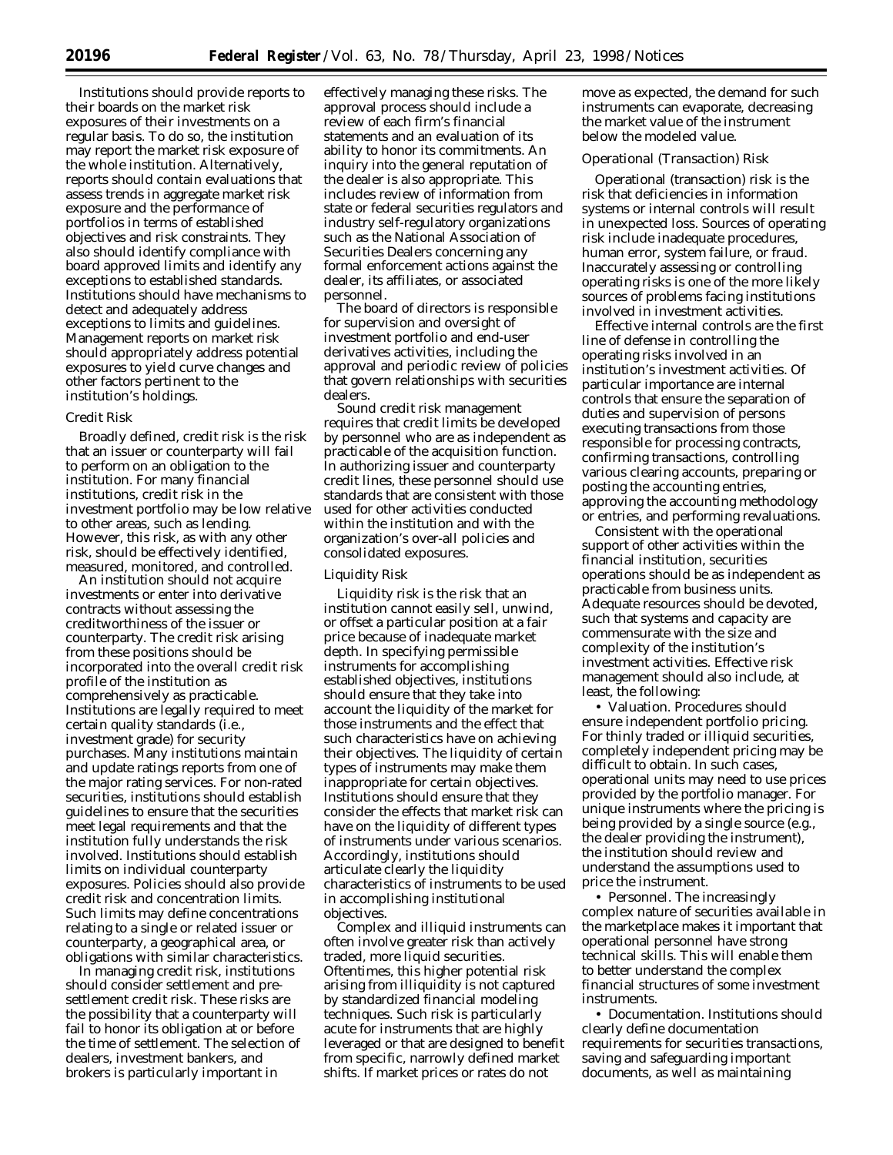Institutions should provide reports to their boards on the market risk exposures of their investments on a regular basis. To do so, the institution may report the market risk exposure of the whole institution. Alternatively, reports should contain evaluations that assess trends in aggregate market risk exposure and the performance of portfolios in terms of established objectives and risk constraints. They also should identify compliance with board approved limits and identify any exceptions to established standards. Institutions should have mechanisms to detect and adequately address exceptions to limits and guidelines. Management reports on market risk should appropriately address potential exposures to yield curve changes and other factors pertinent to the institution's holdings.

#### *Credit Risk*

Broadly defined, credit risk is the risk that an issuer or counterparty will fail to perform on an obligation to the institution. For many financial institutions, credit risk in the investment portfolio may be low relative to other areas, such as lending. However, this risk, as with any other risk, should be effectively identified, measured, monitored, and controlled.

An institution should not acquire investments or enter into derivative contracts without assessing the creditworthiness of the issuer or counterparty. The credit risk arising from these positions should be incorporated into the overall credit risk profile of the institution as comprehensively as practicable. Institutions are legally required to meet certain quality standards (i.e., investment grade) for security purchases. Many institutions maintain and update ratings reports from one of the major rating services. For non-rated securities, institutions should establish guidelines to ensure that the securities meet legal requirements and that the institution fully understands the risk involved. Institutions should establish limits on individual counterparty exposures. Policies should also provide credit risk and concentration limits. Such limits may define concentrations relating to a single or related issuer or counterparty, a geographical area, or obligations with similar characteristics.

In managing credit risk, institutions should consider settlement and presettlement credit risk. These risks are the possibility that a counterparty will fail to honor its obligation at or before the time of settlement. The selection of dealers, investment bankers, and brokers is particularly important in

effectively managing these risks. The approval process should include a review of each firm's financial statements and an evaluation of its ability to honor its commitments. An inquiry into the general reputation of the dealer is also appropriate. This includes review of information from state or federal securities regulators and industry self-regulatory organizations such as the National Association of Securities Dealers concerning any formal enforcement actions against the dealer, its affiliates, or associated personnel.

The board of directors is responsible for supervision and oversight of investment portfolio and end-user derivatives activities, including the approval and periodic review of policies that govern relationships with securities dealers.

Sound credit risk management requires that credit limits be developed by personnel who are as independent as practicable of the acquisition function. In authorizing issuer and counterparty credit lines, these personnel should use standards that are consistent with those used for other activities conducted within the institution and with the organization's over-all policies and consolidated exposures.

#### *Liquidity Risk*

Liquidity risk is the risk that an institution cannot easily sell, unwind, or offset a particular position at a fair price because of inadequate market depth. In specifying permissible instruments for accomplishing established objectives, institutions should ensure that they take into account the liquidity of the market for those instruments and the effect that such characteristics have on achieving their objectives. The liquidity of certain types of instruments may make them inappropriate for certain objectives. Institutions should ensure that they consider the effects that market risk can have on the liquidity of different types of instruments under various scenarios. Accordingly, institutions should articulate clearly the liquidity characteristics of instruments to be used in accomplishing institutional objectives.

Complex and illiquid instruments can often involve greater risk than actively traded, more liquid securities. Oftentimes, this higher potential risk arising from illiquidity is not captured by standardized financial modeling techniques. Such risk is particularly acute for instruments that are highly leveraged or that are designed to benefit from specific, narrowly defined market shifts. If market prices or rates do not

move as expected, the demand for such instruments can evaporate, decreasing the market value of the instrument below the modeled value.

## *Operational (Transaction) Risk*

Operational (transaction) risk is the risk that deficiencies in information systems or internal controls will result in unexpected loss. Sources of operating risk include inadequate procedures, human error, system failure, or fraud. Inaccurately assessing or controlling operating risks is one of the more likely sources of problems facing institutions involved in investment activities.

Effective internal controls are the first line of defense in controlling the operating risks involved in an institution's investment activities. Of particular importance are internal controls that ensure the separation of duties and supervision of persons executing transactions from those responsible for processing contracts, confirming transactions, controlling various clearing accounts, preparing or posting the accounting entries, approving the accounting methodology or entries, and performing revaluations.

Consistent with the operational support of other activities within the financial institution, securities operations should be as independent as practicable from business units. Adequate resources should be devoted, such that systems and capacity are commensurate with the size and complexity of the institution's investment activities. Effective risk management should also include, at least, the following:

• Valuation. Procedures should ensure independent portfolio pricing. For thinly traded or illiquid securities, completely independent pricing may be difficult to obtain. In such cases, operational units may need to use prices provided by the portfolio manager. For unique instruments where the pricing is being provided by a single source (e.g., the dealer providing the instrument), the institution should review and understand the assumptions used to price the instrument.

• Personnel. The increasingly complex nature of securities available in the marketplace makes it important that operational personnel have strong technical skills. This will enable them to better understand the complex financial structures of some investment instruments.

• Documentation. Institutions should clearly define documentation requirements for securities transactions, saving and safeguarding important documents, as well as maintaining